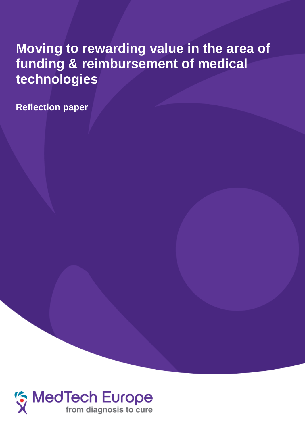# **Moving to rewarding value in the area of funding & reimbursement of medical technologies**

**Reflection paper**

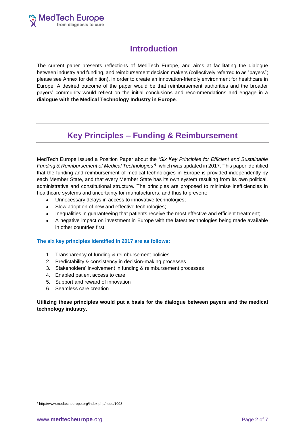### **Introduction**

The current paper presents reflections of MedTech Europe, and aims at facilitating the dialogue between industry and funding, and reimbursement decision makers (collectively referred to as "payers"; please see Annex for definition), in order to create an innovation-friendly environment for healthcare in Europe. A desired outcome of the paper would be that reimbursement authorities and the broader payers' community would reflect on the initial conclusions and recommendations and engage in a **dialogue with the Medical Technology Industry in Europe**.

# **Key Principles – Funding & Reimbursement**

MedTech Europe issued a Position Paper about the *'Six Key Principles for Efficient and Sustainable Funding & Reimbursement of Medical Technologies'* 1 , which was updated in 2017. This paper identified that the funding and reimbursement of medical technologies in Europe is provided independently by each Member State, and that every Member State has its own system resulting from its own political, administrative and constitutional structure. The principles are proposed to minimise inefficiencies in healthcare systems and uncertainty for manufacturers, and thus to prevent:

- Unnecessary delays in access to innovative technologies;
- Slow adoption of new and effective technologies:
- Inequalities in guaranteeing that patients receive the most effective and efficient treatment;
- A negative impact on investment in Europe with the latest technologies being made available in other countries first.

#### **The six key principles identified in 2017 are as follows:**

- 1. Transparency of funding & reimbursement policies
- 2. Predictability & consistency in decision-making processes
- 3. Stakeholders' involvement in funding & reimbursement processes
- 4. Enabled patient access to care
- 5. Support and reward of innovation
- 6. Seamless care creation

### **Utilizing these principles would put a basis for the dialogue between payers and the medical technology industry.**

<sup>-</sup><sup>1</sup> http://www.medtecheurope.org/index.php/node/1098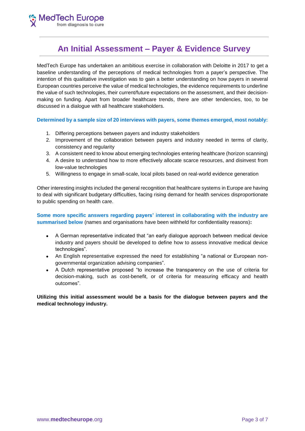### **An Initial Assessment – Payer & Evidence Survey**

MedTech Europe has undertaken an ambitious exercise in collaboration with Deloitte in 2017 to get a baseline understanding of the perceptions of medical technologies from a payer's perspective. The intention of this qualitative investigation was to gain a better understanding on how payers in several European countries perceive the value of medical technologies, the evidence requirements to underline the value of such technologies, their current/future expectations on the assessment, and their decisionmaking on funding. Apart from broader healthcare trends, there are other tendencies, too, to be discussed in a dialogue with all healthcare stakeholders.

**Determined by a sample size of 20 interviews with payers, some themes emerged, most notably:**

- 1. Differing perceptions between payers and industry stakeholders
- 2. Improvement of the collaboration between payers and industry needed in terms of clarity, consistency and regularity
- 3. A consistent need to know about emerging technologies entering healthcare (horizon scanning)
- 4. A desire to understand how to more effectively allocate scarce resources, and disinvest from low-value technologies
- 5. Willingness to engage in small-scale, local pilots based on real-world evidence generation

Other interesting insights included the general recognition that healthcare systems in Europe are having to deal with significant budgetary difficulties, facing rising demand for health services disproportionate to public spending on health care.

#### **Some more specific answers regarding payers' interest in collaborating with the industry are summarised below** (names and organisations have been withheld for confidentiality reasons)**:**

- A German representative indicated that "an early dialogue approach between medical device industry and payers should be developed to define how to assess innovative medical device technologies".
- An English representative expressed the need for establishing "a national or European nongovernmental organization advising companies".
- A Dutch representative proposed "to increase the transparency on the use of criteria for decision-making, such as cost-benefit, or of criteria for measuring efficacy and health outcomes".

**Utilizing this initial assessment would be a basis for the dialogue between payers and the medical technology industry.**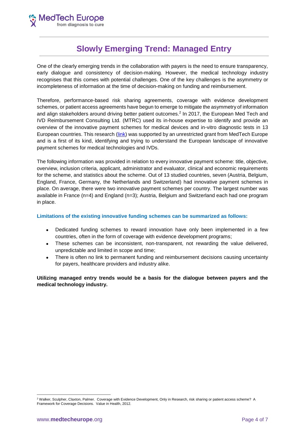### **Slowly Emerging Trend: Managed Entry**

One of the clearly emerging trends in the collaboration with payers is the need to ensure transparency, early dialogue and consistency of decision-making. However, the medical technology industry recognises that this comes with potential challenges. One of the key challenges is the asymmetry or incompleteness of information at the time of decision-making on funding and reimbursement.

Therefore, performance-based risk sharing agreements, coverage with evidence development schemes, or patient access agreements have begun to emerge to mitigate the asymmetry of information and align stakeholders around driving better patient outcomes.<sup>2</sup> In 2017, the European Med Tech and IVD Reimbursement Consulting Ltd. (MTRC) used its in-house expertise to identify and provide an overview of the innovative payment schemes for medical devices and in-vitro diagnostic tests in 13 European countries. This research [\(link\)](http://www.medtecheurope.org/sites/default/files/resource_items/files/2018_MTE_MTRC%20Research%20Paper%20Innovative%20Payment%20Schemes%20in%20Europe.PDF) was supported by an unrestricted grant from MedTech Europe and is a first of its kind, identifying and trying to understand the European landscape of innovative payment schemes for medical technologies and IVDs.

The following information was provided in relation to every innovative payment scheme: title, objective, overview, inclusion criteria, applicant, administrator and evaluator, clinical and economic requirements for the scheme, and statistics about the scheme. Out of 13 studied countries, seven (Austria, Belgium, England, France, Germany, the Netherlands and Switzerland) had innovative payment schemes in place. On average, there were two innovative payment schemes per country. The largest number was available in France (n=4) and England (n=3); Austria, Belgium and Switzerland each had one program in place.

#### **Limitations of the existing innovative funding schemes can be summarized as follows:**

- Dedicated funding schemes to reward innovation have only been implemented in a few countries, often in the form of coverage with evidence development programs;
- These schemes can be inconsistent, non-transparent, not rewarding the value delivered, unpredictable and limited in scope and time;
- There is often no link to permanent funding and reimbursement decisions causing uncertainty for payers, healthcare providers and industry alike.

**Utilizing managed entry trends would be a basis for the dialogue between payers and the medical technology industry.**

 $\overline{a}$ 

<sup>2</sup> Walker, Sculpher, Claxton, Palmer. Coverage with Evidence Development, Only in Research, risk sharing or patient access scheme? A Framework for Coverage Decisions. Value in Health, 2012.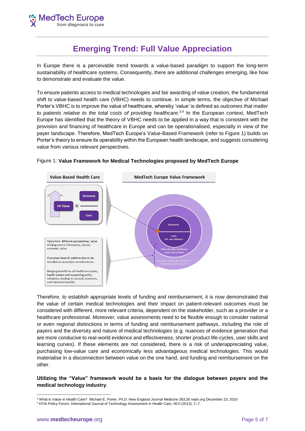# **Emerging Trend: Full Value Appreciation**

In Europe there is a perceivable trend towards a value-based paradigm to support the long-term sustainability of healthcare systems. Consequently, there are additional challenges emerging, like how to demonstrate and evaluate the value.

To ensure patients access to medical technologies and fair awarding of value creation, the fundamental shift to value-based health care (VBHC) needs to continue. In simple terms, the objective of Michael Porter's VBHC is to improve the value of healthcare, whereby 'value' is defined as *outcomes that matter*  to patients relative to the total costs of providing healthcare.<sup>3,4</sup> In the European context, MedTech Europe has identified that the theory of VBHC needs to be applied in a way that is consistent with the provision and financing of healthcare in Europe and can be operationalised, especially in view of the payer landscape. Therefore, MedTech Europe's Value-Based Framework (refer to Figure 1) builds on Porter's theory to ensure its operability within the European health landscape, and suggests considering value from various relevant perspectives.



#### Figure 1: **Value Framework for Medical Technologies proposed by MedTech Europe**

Therefore, to establish appropriate levels of funding and reimbursement, it is now demonstrated that the value of certain medical technologies and their impact on patient-relevant outcomes must be considered with different, more relevant criteria, dependent on the stakeholder, such as a provider or a healthcare professional. Moreover, value assessments need to be flexible enough to consider national or even regional distinctions in terms of funding and reimbursement pathways, including the role of payers and the diversity and nature of medical technologies (e.g. nuances of evidence generation that are more conducive to real-world evidence and effectiveness, shorter product life-cycles, user skills and learning curves). If these elements are not considered, there is a risk of underappreciating value, purchasing low-value care and economically less advantageous medical technologies. This would materialise in a disconnection between value on the one hand, and funding and reimbursement on the other.

### **Utilizing the "Value" framework would be a basis for the dialogue between payers and the medical technology industry**.

 $\overline{a}$ <sup>3</sup> What Is Value in Health Care? Michael E. Porter, Ph.D. New England Journal Medicine 363;26 nejm.org December 23, 2010 <sup>4</sup> HTAi Policy Forum, International Journal of Technology Assessment in Health Care, 00:0 (2013), 1–7.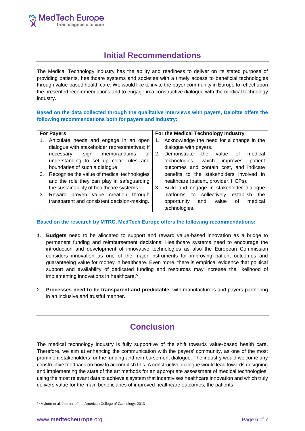### **Initial Recommendations**

The Medical Technology industry has the ability and readiness to deliver on its stated purpose of providing patients, healthcare systems and societies with a timely access to beneficial technologies through value-based health care. We would like to invite the payer community in Europe to reflect upon the presented recommendations and to engage in a constructive dialogue with the medical technology industry.

**Based on the data collected through the qualitative interviews with payers, Deloitte offers the following recommendations both for payers and industry:** 

| <b>For Payers</b> |                                               | For the Medical Technology Industry |                                                  |
|-------------------|-----------------------------------------------|-------------------------------------|--------------------------------------------------|
| 1.                | Articulate needs and engage in an open        | 1.                                  | Acknowledge the need for a change in the         |
|                   | dialogue with stakeholder representatives; if |                                     | dialogue with payers.                            |
|                   | memorandums<br>οf<br>sign<br>necessary,       | 2.                                  | Demonstrate<br>the<br>medical<br>value<br>οf     |
|                   | understanding to set up clear rules and       |                                     | which<br>technologies,<br>patient<br>improves    |
|                   | boundaries of such a dialogue.                |                                     | outcomes and contain cost, and indicate          |
| 2.                | Recognise the value of medical technologies   |                                     | benefits to the stakeholders involved in         |
|                   | and the role they can play in safeguarding    |                                     | healthcare (patient, provider, HCPs).            |
|                   | the sustainability of healthcare systems.     | 3.                                  | Build and engage in stakeholder dialoque         |
| 3.                | proven value creation through<br>Reward       |                                     | to collectively<br>establish<br>platforms<br>the |
|                   | transparent and consistent decision-making.   |                                     | value<br>medical<br>opportunity<br>οf<br>and     |
|                   |                                               |                                     | technologies.                                    |

#### **Based on the research by MTRC, MedTech Europe offers the following recommendations:**

- 1. **Budgets** need to be allocated to support and reward value-based innovation as a bridge to permanent funding and reimbursement decisions. Healthcare systems need to encourage the introduction and development of innovative technologies as also the European Commission considers innovation as one of the major instruments for improving patient outcomes and guaranteeing value for money in healthcare. Even more, there is empirical evidence that political support and availability of dedicated funding and resources may increase the likelihood of implementing innovations in healthcare.<sup>5</sup>
- 2. **Processes need to be transparent and predictable**, with manufacturers and payers partnering in an inclusive and trustful manner.

### **Conclusion**

The medical technology industry is fully supportive of the shift towards value-based health care. Therefore, we aim at enhancing the communication with the payers' community, as one of the most prominent stakeholders for the funding and reimbursement dialogue. The industry would welcome any constructive feedback on how to accomplish this. A constructive dialogue would lead towards designing and implementing the state of the art methods for an appropriate assessment of medical technologies, using the most relevant data to achieve a system that incentivises healthcare innovation and which truly delivers value for the main beneficiaries of improved healthcare outcomes, the patients.

-

<sup>5</sup> \*Mylotte et al; Journal of the American College of Cardiology, 2013